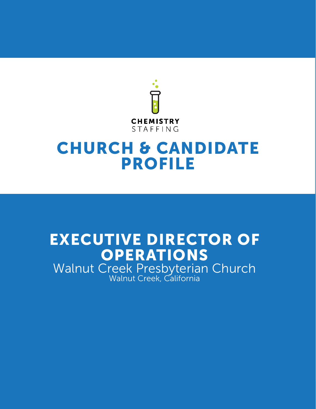

Walnut Creek, CA

# CHURCH & CANDIDATE PROFILE

# EXECUTIVE DIRECTOR OF **OPERATIONS**

Walnut Creek Presbyterian Church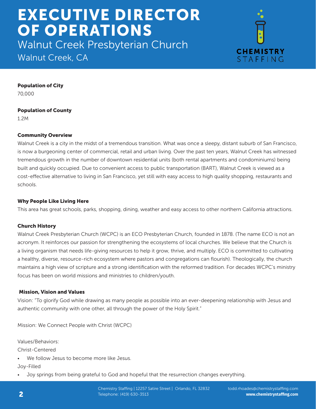Walnut Creek Presbyterian Church





Population of City

70,000

# Population of County

1.2M

# Community Overview

Walnut Creek is a city in the midst of a tremendous transition. What was once a sleepy, distant suburb of San Francisco, is now a burgeoning center of commercial, retail and urban living. Over the past ten years, Walnut Creek has witnessed tremendous growth in the number of downtown residential units (both rental apartments and condominiums) being built and quickly occupied. Due to convenient access to public transportation (BART), Walnut Creek is viewed as a cost-effective alternative to living in San Francisco, yet still with easy access to high quality shopping, restaurants and schools.

# Why People Like Living Here

This area has great schools, parks, shopping, dining, weather and easy access to other northern California attractions.

# Church History

Walnut Creek Presbyterian Church (WCPC) is an ECO Presbyterian Church, founded in 1878. (The name ECO is not an acronym. It reinforces our passion for strengthening the ecosystems of local churches. We believe that the Church is a living organism that needs life-giving resources to help it grow, thrive, and multiply. ECO is committed to cultivating a healthy, diverse, resource-rich ecosystem where pastors and congregations can flourish). Theologically, the church maintains a high view of scripture and a strong identification with the reformed tradition. For decades WCPC's ministry focus has been on world missions and ministries to children/youth.

# Mission, Vision and Values

Vision: "To glorify God while drawing as many people as possible into an ever-deepening relationship with Jesus and authentic community with one other, all through the power of the Holy Spirit."

Mission: We Connect People with Christ (WCPC)

Values/Behaviors:

Christ-Centered

We follow Jesus to become more like Jesus.

Joy-Filled

• Joy springs from being grateful to God and hopeful that the resurrection changes everything.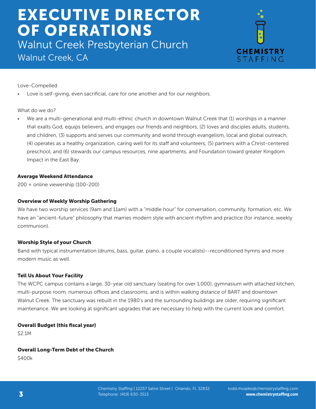Walnut Creek Presbyterian Church Walnut Creek, CA



Love-Compelled

Love is self-giving, even sacrificial, care for one another and for our neighbors.

#### What do we do?

We are a multi-generational and multi-ethnic church in downtown Walnut Creek that (1) worships in a manner that exalts God, equips believers, and engages our friends and neighbors, (2) loves and disciples adults, students, and children, (3) supports and serves our community and world through evangelism, local and global outreach, (4) operates as a healthy organization, caring well for its staff and volunteers, (5) partners with a Christ-centered preschool, and (6) stewards our campus resources, nine apartments, and Foundation toward greater Kingdom Impact in the East Bay.

### Average Weekend Attendance

200 + online viewership (100-200)

#### Overview of Weekly Worship Gathering

We have two worship services (9am and 11am) with a "middle hour" for conversation, community, formation, etc. We have an "ancient-future" philosophy that marries modern style with ancient rhythm and practice (for instance, weekly communion).

### Worship Style of your Church

Band with typical instrumentation (drums, bass, guitar, piano, a couple vocalists)--reconditioned hymns and more modern music as well.

### Tell Us About Your Facility

The WCPC campus contains a large, 30-year old sanctuary (seating for over 1,000), gymnasium with attached kitchen, multi-purpose room, numerous offices and classrooms, and is within walking distance of BART and downtown Walnut Creek. The sanctuary was rebuilt in the 1980's and the surrounding buildings are older, requiring significant maintenance. We are looking at significant upgrades that are necessary to help with the current look and comfort.

#### Overall Budget (this fiscal year)

\$2.1M

#### Overall Long-Term Debt of the Church

\$400k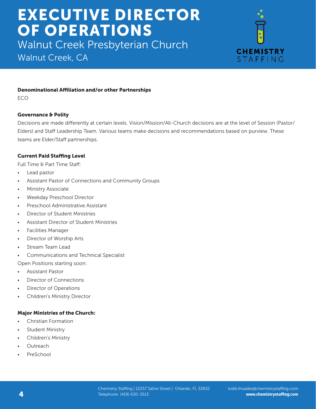Walnut Creek Presbyterian Church

Walnut Creek, CA



## Denominational Affiliation and/or other Partnerships

ECO

## Governance & Polity

Decisions are made differently at certain levels. Vision/Mission/All-Church decisions are at the level of Session (Pastor/ Elders) and Staff Leadership Team. Various teams make decisions and recommendations based on purview. These teams are Elder/Staff partnerships.

## Current Paid Staffing Level

Full Time & Part Time Staff:

- Lead pastor
- Assistant Pastor of Connections and Community Groups
- Ministry Associate
- Weekday Preschool Director
- Preschool Administrative Assistant
- Director of Student Ministries
- Assistant Director of Student Ministries
- Facilities Manager
- Director of Worship Arts
- Stream Team Lead
- Communications and Technical Specialist

Open Positions starting soon:

- Assistant Pastor
- Director of Connections
- Director of Operations
- Children's Ministry Director

### Major Ministries of the Church:

- Christian Formation
- **Student Ministry**
- Children's Ministry
- **Outreach**
- **PreSchool**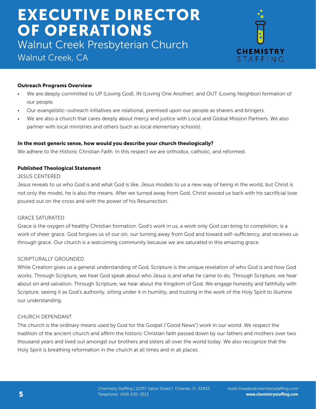Walnut Creek Presbyterian Church Walnut Creek, CA



### Outreach Programs Overview

- We are deeply committed to UP (Loving God), IN (Loving One Another), and OUT (Loving Neighbor) formation of our people.
- Our evangelistic-outreach initiatives are relational, premised upon our people as sharers and bringers.
- We are also a church that cares deeply about mercy and justice with Local and Global Mission Partners. We also partner with local ministries and others (such as local elementary schools).

## In the most generic sense, how would you describe your church theologically?

We adhere to the Historic Christian Faith. In this respect we are orthodox, catholic, and reformed.

### Published Theological Statement

### JESUS CENTERED

Jesus reveals to us who God is and what God is like. Jesus models to us a new way of being in the world, but Christ is not only the model, he is also the means. After we turned away from God, Christ wooed us back with his sacrificial love poured out on the cross and with the power of his Resurrection.

### GRACE SATURATED

Grace is the oxygen of healthy Christian formation. God's work in us, a work only God can bring to completion, is a work of sheer grace. God forgives us of our sin, our turning away from God and toward self-sufficiency, and receives us through grace. Our church is a welcoming community because we are saturated in this amazing grace.

### SCRIPTURALLY GROUNDED

While Creation gives us a general understanding of God, Scripture is the unique revelation of who God is and how God works. Through Scripture, we hear God speak about who Jesus is and what he came to do. Through Scripture, we hear about sin and salvation. Through Scripture, we hear about the Kingdom of God. We engage honestly and faithfully with Scripture, seeing it as God's authority, sitting under it in humility, and trusting in the work of the Holy Spirit to illumine our understanding.

### CHURCH DEPENDANT

The church is the ordinary means used by God for the Gospel ("Good News") work in our world. We respect the tradition of the ancient church and affirm the historic Christian faith passed down by our fathers and mothers over two thousand years and lived out amongst our brothers and sisters all over the world today. We also recognize that the Holy Spirit is breathing reformation in the church at all times and in all places.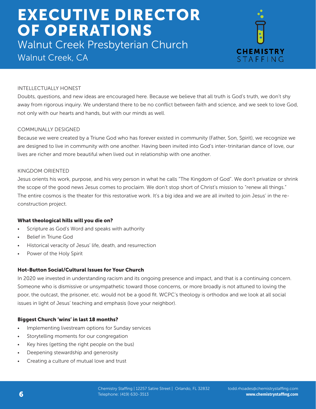Walnut Creek Presbyterian Church Walnut Creek, CA



### INTELLECTUALLY HONEST

Doubts, questions, and new ideas are encouraged here. Because we believe that all truth is God's truth, we don't shy away from rigorous inquiry. We understand there to be no conflict between faith and science, and we seek to love God, not only with our hearts and hands, but with our minds as well.

#### COMMUNALLY DESIGNED

Because we were created by a Triune God who has forever existed in community (Father, Son, Spirit), we recognize we are designed to live in community with one another. Having been invited into God's inter-trinitarian dance of love, our lives are richer and more beautiful when lived out in relationship with one another.

#### KINGDOM ORIENTED

Jesus orients his work, purpose, and his very person in what he calls "The Kingdom of God". We don't privatize or shrink the scope of the good news Jesus comes to proclaim. We don't stop short of Christ's mission to "renew all things." The entire cosmos is the theater for this restorative work. It's a big idea and we are all invited to join Jesus' in the reconstruction project.

#### What theological hills will you die on?

- Scripture as God's Word and speaks with authority
- Belief in Triune God
- Historical veracity of Jesus' life, death, and resurrection
- Power of the Holy Spirit

#### Hot-Button Social/Cultural Issues for Your Church

In 2020 we invested in understanding racism and its ongoing presence and impact, and that is a continuing concern. Someone who is dismissive or unsympathetic toward those concerns, or more broadly is not attuned to loving the poor, the outcast, the prisoner, etc. would not be a good fit. WCPC's theology is orthodox and we look at all social issues in light of Jesus' teaching and emphasis (love your neighbor).

#### Biggest Church 'wins' in last 18 months?

- Implementing livestream options for Sunday services
- Storytelling moments for our congregation
- Key hires (getting the right people on the bus)
- Deepening stewardship and generosity
- Creating a culture of mutual love and trust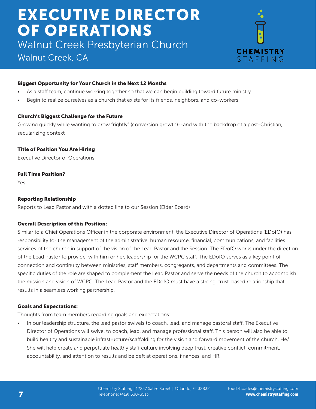Walnut Creek Presbyterian Church

# Walnut Creek, CA



## Biggest Opportunity for Your Church in the Next 12 Months

- As a staff team, continue working together so that we can begin building toward future ministry.
- Begin to realize ourselves as a church that exists for its friends, neighbors, and co-workers

### Church's Biggest Challenge for the Future

Growing quickly while wanting to grow "rightly" (conversion growth)--and with the backdrop of a post-Christian, secularizing context

## Title of Position You Are Hiring

Executive Director of Operations

### Full Time Position?

Yes

## Reporting Relationship

Reports to Lead Pastor and with a dotted line to our Session (Elder Board)

### Overall Description of this Position:

Similar to a Chief Operations Officer in the corporate environment, the Executive Director of Operations (EDofO) has responsibility for the management of the administrative, human resource, financial, communications, and facilities services of the church in support of the vision of the Lead Pastor and the Session. The EDofO works under the direction of the Lead Pastor to provide, with him or her, leadership for the WCPC staff. The EDofO serves as a key point of connection and continuity between ministries, staff members, congregants, and departments and committees. The specific duties of the role are shaped to complement the Lead Pastor and serve the needs of the church to accomplish the mission and vision of WCPC. The Lead Pastor and the EDofO must have a strong, trust-based relationship that results in a seamless working partnership.

### Goals and Expectations:

Thoughts from team members regarding goals and expectations:

• In our leadership structure, the lead pastor swivels to coach, lead, and manage pastoral staff. The Executive Director of Operations will swivel to coach, lead, and manage professional staff. This person will also be able to build healthy and sustainable infrastructure/scaffolding for the vision and forward movement of the church. He/ She will help create and perpetuate healthy staff culture involving deep trust, creative conflict, commitment, accountability, and attention to results and be deft at operations, finances, and HR.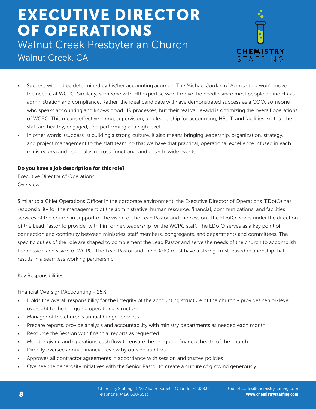Walnut Creek Presbyterian Church Walnut Creek, CA



- Success will not be determined by his/her accounting acumen. The Michael Jordan of Accounting won't move the needle at WCPC. Similarly, someone with HR expertise won't move the needle since most people define HR as administration and compliance. Rather, the ideal candidate will have demonstrated success as a COO: someone who speaks accounting and knows good HR processes, but their real value-add is optimizing the overall operations of WCPC. This means effective hiring, supervision, and leadership for accounting, HR, IT, and facilities, so that the staff are healthy, engaged, and performing at a high level.
- In other words, (success is) building a strong culture. It also means bringing leadership, organization, strategy, and project management to the staff team, so that we have that practical, operational excellence infused in each ministry area and especially in cross-functional and church-wide events.

#### Do you have a job description for this role?

Executive Director of Operations Overview

Similar to a Chief Operations Officer in the corporate environment, the Executive Director of Operations (EDofO) has responsibility for the management of the administrative, human resource, financial, communications, and facilities services of the church in support of the vision of the Lead Pastor and the Session. The EDofO works under the direction of the Lead Pastor to provide, with him or her, leadership for the WCPC staff. The EDofO serves as a key point of connection and continuity between ministries, staff members, congregants, and departments and committees. The specific duties of the role are shaped to complement the Lead Pastor and serve the needs of the church to accomplish the mission and vision of WCPC. The Lead Pastor and the EDofO must have a strong, trust-based relationship that results in a seamless working partnership.

Key Responsibilities:

Financial Oversight/Accounting - 25%

- Holds the overall responsibility for the integrity of the accounting structure of the church provides senior-level oversight to the on-going operational structure
- Manager of the church's annual budget process
- Prepare reports, provide analysis and accountability with ministry departments as needed each month
- Resource the Session with financial reports as requested
- Monitor giving and operations cash flow to ensure the on-going financial health of the church
- Directly oversee annual financial review by outside auditors
- Approves all contractor agreements in accordance with session and trustee policies
- Oversee the generosity initiatives with the Senior Pastor to create a culture of growing generously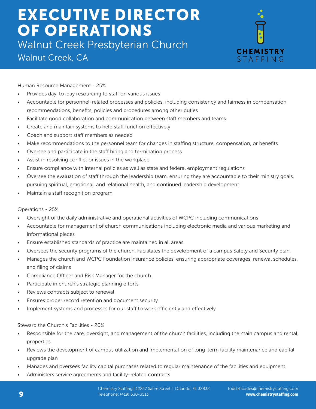Walnut Creek Presbyterian Church Walnut Creek, CA



Human Resource Management - 25%

- Provides day-to-day resourcing to staff on various issues
- Accountable for personnel-related processes and policies, including consistency and fairness in compensation recommendations, benefits, policies and procedures among other duties
- Facilitate good collaboration and communication between staff members and teams
- Create and maintain systems to help staff function effectively
- Coach and support staff members as needed
- Make recommendations to the personnel team for changes in staffing structure, compensation, or benefits
- Oversee and participate in the staff hiring and termination process
- Assist in resolving conflict or issues in the workplace
- Ensure compliance with internal policies as well as state and federal employment regulations
- Oversee the evaluation of staff through the leadership team, ensuring they are accountable to their ministry goals, pursuing spiritual, emotional, and relational health, and continued leadership development
- Maintain a staff recognition program

#### Operations - 25%

- Oversight of the daily administrative and operational activities of WCPC including communications
- Accountable for management of church communications including electronic media and various marketing and informational pieces
- Ensure established standards of practice are maintained in all areas
- Oversees the security programs of the church. Facilitates the development of a campus Safety and Security plan.
- Manages the church and WCPC Foundation insurance policies, ensuring appropriate coverages, renewal schedules, and filing of claims
- Compliance Officer and Risk Manager for the church
- Participate in church's strategic planning efforts
- Reviews contracts subject to renewal
- Ensures proper record retention and document security
- Implement systems and processes for our staff to work efficiently and effectively

#### Steward the Church's Facilities - 20%

- Responsible for the care, oversight, and management of the church facilities, including the main campus and rental properties
- Reviews the development of campus utilization and implementation of long-term facility maintenance and capital upgrade plan
- Manages and oversees facility capital purchases related to regular maintenance of the facilities and equipment.
- Administers service agreements and facility-related contracts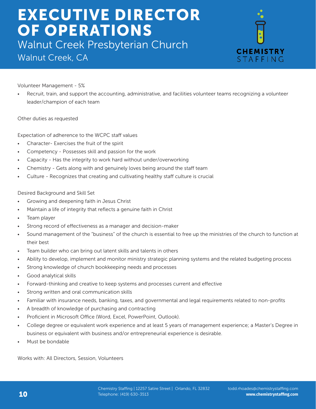Walnut Creek Presbyterian Church Walnut Creek, CA



Volunteer Management - 5%

• Recruit, train, and support the accounting, administrative, and facilities volunteer teams recognizing a volunteer leader/champion of each team

Other duties as requested

Expectation of adherence to the WCPC staff values

- Character- Exercises the fruit of the spirit
- Competency Possesses skill and passion for the work
- Capacity Has the integrity to work hard without under/overworking
- Chemistry Gets along with and genuinely loves being around the staff team
- Culture Recognizes that creating and cultivating healthy staff culture is crucial

#### Desired Background and Skill Set

- Growing and deepening faith in Jesus Christ
- Maintain a life of integrity that reflects a genuine faith in Christ
- Team player
- Strong record of effectiveness as a manager and decision-maker
- Sound management of the "business" of the church is essential to free up the ministries of the church to function at their best
- Team builder who can bring out latent skills and talents in others
- Ability to develop, implement and monitor ministry strategic planning systems and the related budgeting process
- Strong knowledge of church bookkeeping needs and processes
- Good analytical skills
- Forward-thinking and creative to keep systems and processes current and effective
- Strong written and oral communication skills
- Familiar with insurance needs, banking, taxes, and governmental and legal requirements related to non-profits
- A breadth of knowledge of purchasing and contracting
- Proficient in Microsoft Office (Word, Excel, PowerPoint, Outlook).
- College degree or equivalent work experience and at least 5 years of management experience; a Master's Degree in business or equivalent with business and/or entrepreneurial experience is desirable.
- Must be bondable

Works with: All Directors, Session, Volunteers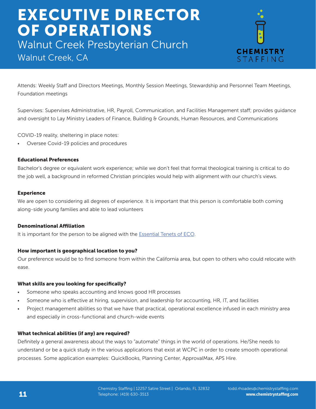Walnut Creek Presbyterian Church

# Walnut Creek, CA



Attends: Weekly Staff and Directors Meetings, Monthly Session Meetings, Stewardship and Personnel Team Meetings, Foundation meetings

Supervises: Supervises Administrative, HR, Payroll, Communication, and Facilities Management staff; provides guidance and oversight to Lay Ministry Leaders of Finance, Building & Grounds, Human Resources, and Communications

COVID-19 reality, sheltering in place notes:

• Oversee Covid-19 policies and procedures

#### Educational Preferences

Bachelor's degree or equivalent work experience; while we don't feel that formal theological training is critical to do the job well, a background in reformed Christian principles would help with alignment with our church's views.

#### Experience

We are open to considering all degrees of experience. It is important that this person is comfortable both coming along-side young families and able to lead volunteers

### Denominational Affiliation

It is important for the person to be aligned with the Essential Tenets of ECO.

### How important is geographical location to you?

Our preference would be to find someone from within the California area, but open to others who could relocate with ease.

### What skills are you looking for specifically?

- Someone who speaks accounting and knows good HR processes
- Someone who is effective at hiring, supervision, and leadership for accounting, HR, IT, and facilities
- Project management abilities so that we have that practical, operational excellence infused in each ministry area and especially in cross-functional and church-wide events

### What technical abilities (if any) are required?

Definitely a general awareness about the ways to "automate" things in the world of operations. He/She needs to understand or be a quick study in the various applications that exist at WCPC in order to create smooth operational processes. Some application examples: QuickBooks, Planning Center, ApprovalMax, APS Hire.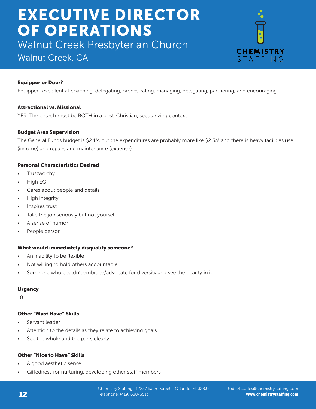Walnut Creek Presbyterian Church

# Walnut Creek, CA



### Equipper or Doer?

Equipper- excellent at coaching, delegating, orchestrating, managing, delegating, partnering, and encouraging

#### Attractional vs. Missional

YES! The church must be BOTH in a post-Christian, secularizing context

#### Budget Area Supervision

The General Funds budget is \$2.1M but the expenditures are probably more like \$2.5M and there is heavy facilities use (income) and repairs and maintenance (expense).

#### Personal Characteristics Desired

- **Trustworthy**
- High EQ
- Cares about people and details
- High integrity
- Inspires trust
- Take the job seriously but not yourself
- A sense of humor
- People person

#### What would immediately disqualify someone?

- An inability to be flexible
- Not willing to hold others accountable
- Someone who couldn't embrace/advocate for diversity and see the beauty in it

#### **Urgency**

10

#### Other "Must Have" Skills

- Servant leader
- Attention to the details as they relate to achieving goals
- See the whole and the parts clearly

### Other "Nice to Have" Skills

- A good aesthetic sense.
- Giftedness for nurturing, developing other staff members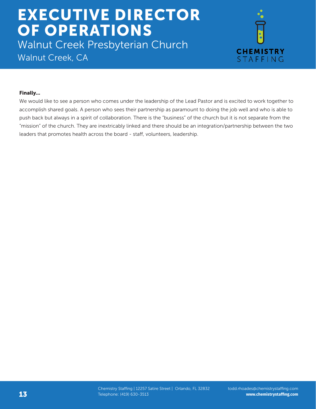Walnut Creek Presbyterian Church Walnut Creek, CA



#### Finally...

We would like to see a person who comes under the leadership of the Lead Pastor and is excited to work together to accomplish shared goals. A person who sees their partnership as paramount to doing the job well and who is able to push back but always in a spirit of collaboration. There is the "business" of the church but it is not separate from the "mission" of the church. They are inextricably linked and there should be an integration/partnership between the two leaders that promotes health across the board - staff, volunteers, leadership.